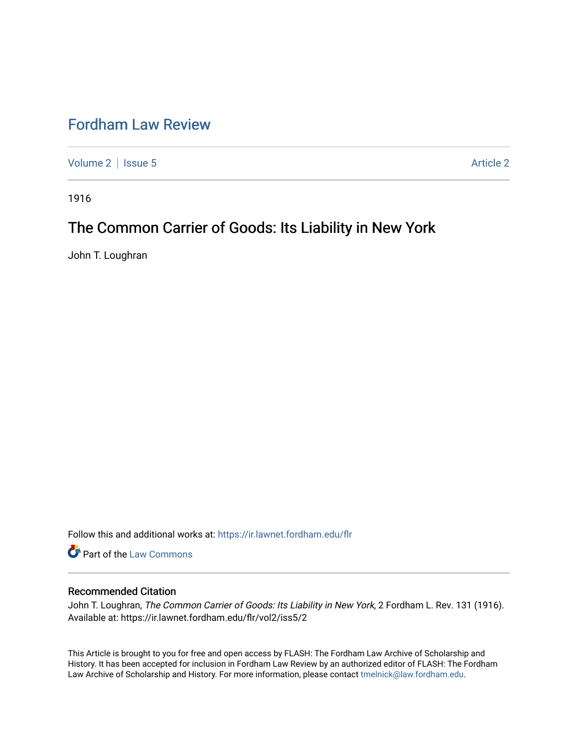## [Fordham Law Review](https://ir.lawnet.fordham.edu/flr)

[Volume 2](https://ir.lawnet.fordham.edu/flr/vol2) | [Issue 5](https://ir.lawnet.fordham.edu/flr/vol2/iss5) Article 2

1916

# The Common Carrier of Goods: Its Liability in New York

John T. Loughran

Follow this and additional works at: [https://ir.lawnet.fordham.edu/flr](https://ir.lawnet.fordham.edu/flr?utm_source=ir.lawnet.fordham.edu%2Fflr%2Fvol2%2Fiss5%2F2&utm_medium=PDF&utm_campaign=PDFCoverPages)

Part of the [Law Commons](http://network.bepress.com/hgg/discipline/578?utm_source=ir.lawnet.fordham.edu%2Fflr%2Fvol2%2Fiss5%2F2&utm_medium=PDF&utm_campaign=PDFCoverPages)

## Recommended Citation

John T. Loughran, The Common Carrier of Goods: Its Liability in New York, 2 Fordham L. Rev. 131 (1916). Available at: https://ir.lawnet.fordham.edu/flr/vol2/iss5/2

This Article is brought to you for free and open access by FLASH: The Fordham Law Archive of Scholarship and History. It has been accepted for inclusion in Fordham Law Review by an authorized editor of FLASH: The Fordham Law Archive of Scholarship and History. For more information, please contact [tmelnick@law.fordham.edu](mailto:tmelnick@law.fordham.edu).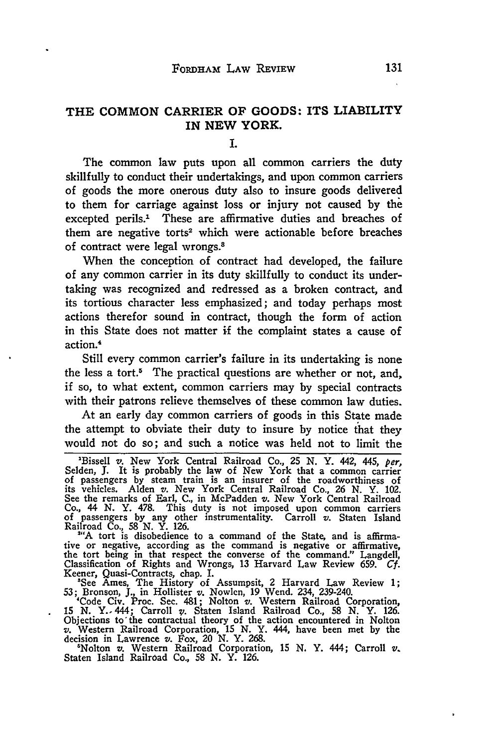## THE **COMMON** CARRIER **OF GOODS:** ITS LIABILITY IN **NEW** YORK.

**I.**

The common law puts upon all common carriers the duty skillfully to conduct their undertakings, and upon common carriers of goods the more onerous duty also to insure goods delivered to them for carriage against loss or injury not caused **by** the excepted perils.' These are affirmative duties and breaches of them are negative torts<sup>2</sup> which were actionable before breaches of contract were legal wrongs.8

When the conception of contract had developed, the failure of any common carrier in its duty skillfully to conduct its undertaking was recognized and redressed as a broken contract, and its tortious character less emphasized; and today perhaps most actions therefor sound in contract, though the form of action in this State does not matter if the complaint states a cause of action.<sup>4</sup>

Still every common carrier's failure in its undertaking is none the less a tort.<sup>5</sup> The practical questions are whether or not, and, if so, to what extent, common carriers may **by** special contracts with their patrons relieve themselves of these common law duties.

At an early day common carriers of goods in this State made the attempt to obviate their duty to insure **by** notice that they would not do so; and such a notice was held not to limit the

'Bissell v. New York Central Railroad Co., **25** *N.* Y. 442, 445, *per,* Selden, J. It is probably the law of New York that a common carrier<br>of passengers by steam train is an insurer of the roadworthiness of<br>its vehicles. Alden v. New York Central Railroad Co., 26 N. Y. 102. See the remarks of Earl, C., in McPadden v. New York Central Railroad Co., 44 N. Y. 478. This duty is not imposed upon common carriers of passengers by any other instrumentality. Carroll v. Staten Island Railroad Co., 58 N

**"'A** tort is disobedience to a command of the State, and is affirmative or negative, according as the command is negative or affirmative, the tort being in that respect the converse of the command." Langdell, Classification of Rights and Wrongs, 13 Harvard Law Review **659.** *Cf.* Keener, Quasi-Contracts, chap. **I.**

'See Ames, The History of Assumpsit, 2 Harvard Law Review 1; **53;** Bronson, **J.,** in Hollister v. Nowlen, 19 Wend. 234, 239-240. 'Code Civ. Proc. Sec. 481; Nolton v. Western Railroad Corporation,

15 N. Y. 444; Carroll v. Staten Island Railroad Co., 58 N. Y. 126.<br>Objections to the contractual theory of the action encountered in Nolton<br>v. Western Railroad Corporation, 15 N. Y. 444, have been met by the

decision in Lawrence v. Fox, 20 N. Y. 268.<br>
"Nolton v. Western Railroad Corporation, 15 N. Y. 444; Carroll v.<br>Staten Island Railroad Co., 58 N. Y. 126.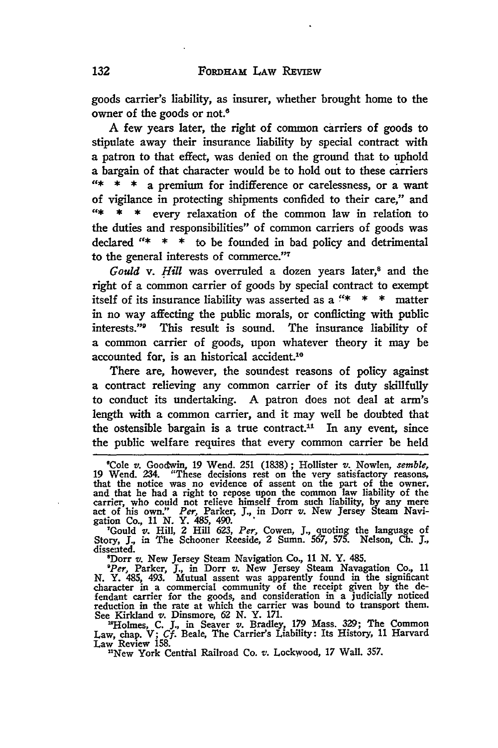goods carrier's liability, as insurer, whether brought home to the owner of the goods or not.<sup>6</sup>

**A** few years later, the right of common carriers of goods to stipulate away their insurance liability **by** special contract with **a** patron to that effect, was denied on the ground that to uphold **a** bargain of that character would be to hold out to these carriers **"\* \* \*** a premium for indifference or carelessness, or a want of vigilance in protecting shipments confided to their care," and \* every relaxation of the common law in relation to the duties and responsibilities" of common carriers of goods was declared **"\* \* \*** to be founded in bad policy and detrimental to the general interests of commerce."<sup>7</sup>

*Gould v. Hill was overruled a dozen years later,<sup>8</sup> and the* right of a common carrier of goods **by** special contract to exempt itself of its insurance liability was asserted as a *"'\** **\* \*** matter in no way affecting the public morals, or conflicting with public interests."9 This result is sound. The insurance liability of a common carrier of goods, upon whatever theory it may be accounted for, is an historical accident.<sup>10</sup>

There are, however, the soundest reasons of policy against a contract relieving any common carrier of its duty skillfully to conduct its undertaking. **A** patron does not deal at arm's length with a common carrier, and it may well be doubted that the ostensible bargain is a true contract.<sup>11</sup> In any event, since the public welfare requires that every common carrier be held

"Dorr v. New Jersey Steam Navigation Co., 11 N. Y. 485.<br>"Per, Parker, J., in Dorr v. New Jersey Steam Navagation Co., 11<br>N. Y. 485, 493. Mutual assent was apparently found in the significant character in a commercial community of the receipt given **by** the defendant carrier for the goods, and consideration in a judicially noticed reduction in the rate at which the carrier was bound to transport them. See Kirkland *v.* Dinsmore, **62 N.** Y. **171.**

"Holmes, C. J., in Seaver v. Bradley, 179 Mass. 329; The Common Law, chap. V; Cf. Beale, The Carrier's Liability: Its History, 11 Harvard Law Review 158.<br>Law Review 158.<br>"New York Central Railroad Co. v. Lockwood, 17 Wall.

<sup>&#</sup>x27;Cole *v.* Goodwvin, **19** Wend. **251 (1838);** Hollister v. Nowlen, *semble,* **19** Wend. 234. "These decisions rest on the very satisfactory reasons, that the notice was no evidence of assent on the part of the owner, and that he had a right to repose upon the common law liability of the carrier, who could not relieve himself from such liability, by any mere<br>act of his own." Per, Parker, J., in Dorr v. New Jersey Steam Navi-<br>gation Co., 11 N. Y. 485, 490.<br>"Gould v. Hill, 2 Hill 623, Per, Cowen, J., quoting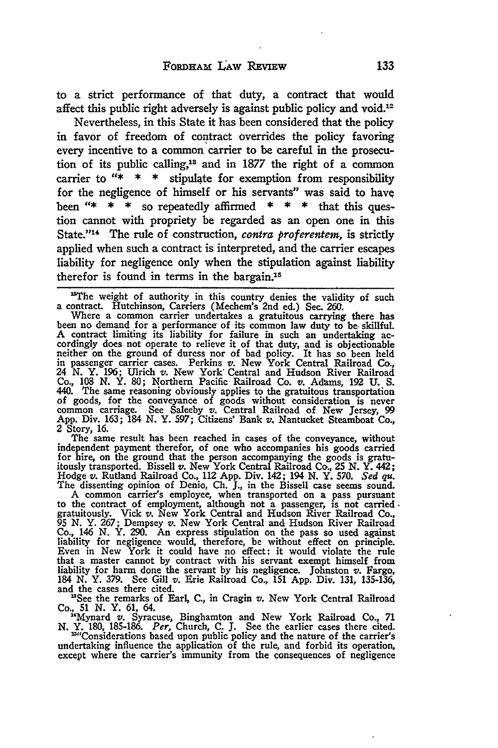to a strict performance of that duty, a contract that would affect this public right adversely is against public policy and void.<sup>12</sup>

Nevertheless, in this State it has been considered that the policy in favor of freedom of contract overrides the policy favoring every incentive to a common carrier to be careful in the prosecution of its public calling,<sup>18</sup> and in 1877 the right of a common carrier to **"\* \* \*** stipulate for exemption from responsibility for the negligence of himself or his servants" was said to have been **"\* \* \*** so repeatedly affirmed **\* \* \*** that this question cannot with propriety be regarded as an open one in this State."<sup>14</sup> The rule of construction, *contra proferentem*, is strictly applied when such a contract is interpreted, and the carrier escapes liability for negligence only when the stipulation against liability therefor is found in terms in the bargain.<sup>15</sup>

independent payment therefor, of one who accompanies his goods carried<br>for hire, on the ground that the person accompanying the goods is gratu-<br>itously transported. Bissell  $v$ . New York Central Railroad Co., 25 N.Y. 442; Hodge v. Rutland Railroad Co., 112 App. Div. 142; 194 N. Y. 570. Sed qu.<br>The dissenting opinion of Denio, Ch. J., in the Bissell case seems sound.<br>A common carrier's employee, when transported on a pass pursuant

to the contract of employment, although not a passenger, is not carried gratuitously. Vick **v.** New York Central and Hudson River Railroad Co., **<sup>95</sup>**N. Y. **267;** Dempsey *v.* New York Central and Hudson River Railroad Co., 146 N. Y. 290. An express stipulation on the pass so used against liability for negligence would, therefore, be without effect on principle. Even in New York it could have no effect: it would violate the rule that a

"See the remarks of Earl, C., in Cragin v. New York Central Railroad

Co., 51 N. Y. 61, 64.<br>
"Mynard v. Syracuse, Binghamton and New York Railroad Co., 71<br>
N. Y. 180, 185-186. Per, Church, C. J. See the earlier cases there cited.<br>
"Considerations based upon public policy and the nature of th

undertaking influence the application of the rule, and forbid its operation, except where the carrier's immunity from the consequences of negligence

The weight of authority in this country denies the validity of such a contract. Hutchinson, Carriers (Mechem's 2nd ed.) Sec. **260.** Where a common carrier undertakes a gratuitous carrying there has

been no demand for a performance of its common law duty to be skillful.<br>A contract limiting its liability for failure in such an undertaking accordingly does not operate to relieve it of that duty, and is objectionable neither 'on the ground of duress nor of bad policy. It has so been held in passenger carrier cases. Perkins **v.** New York Central Railroad **Co.,** <sup>24</sup>**N.** Y. 196; Ulrich **v.** New York' Central and Hudson River Railroad Co., 108 N. Y. 80; Northern Pacific Railroad Co. v. Adams, 192 U. S.<br>440. The same reasoning obviously applies to the gratuitous transportation<br>of goods, for the conveyance of goods without consideration is never common carriage. See Saleeby **v.** Central Railroad of New Jersey, **99** App. Div. **163;** 184 **N.** Y. **597;** Citizens' Bank **v,** Nantucket Steamboat Co., 2 Story, 16.<br>The same result has been reached in cases of the conveyance, without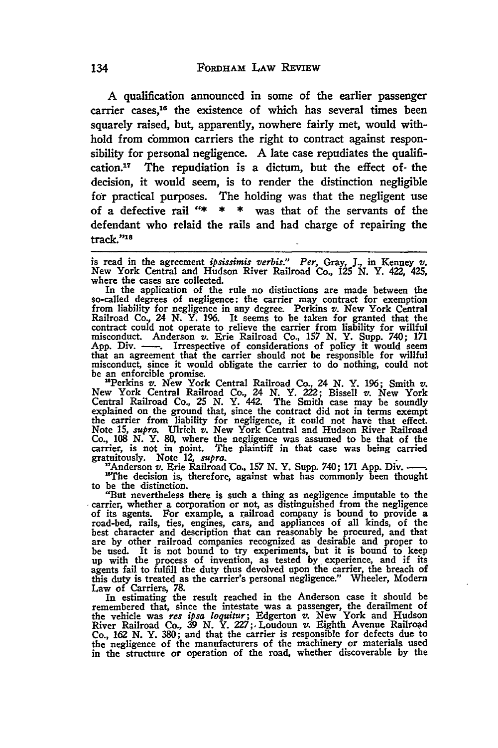**A** qualification announced in some of the earlier passenger carrier cases,<sup>16</sup> the existence of which has several times been squarely raised, but, apparently, nowhere fairly met, would withhold from common carriers the right to contract against responsibility for personal negligence. **A** late case repudiates the qualification.<sup>17</sup> The repudiation is a dictum, but the effect of the decision, it would seem, is to render the distinction negligible for practical purposes. The holding was that the negligent use of a defective rail **"\* \* \*** was that of the servants of the defendant who relaid the rails and had charge of repairing the track."<sup>18</sup>

is read in the agreement *ipsissimis verbis." Per,* Gray, **J.,** in Kenney v. New York Central and Hudson River Railroad Co., **125 N.** Y. 422, 425, where the cases are collected.

In the application of the rule no distinctions are made between the so-called degrees of negligence: the carrier may contract for exemption from liability for negligence in any degree. Perkins *v.* New York Central Railroad Co., 24 **N.** Y. **196.** It seems to be taken for granted that the contract could not operate to relieve the carrier from liability for willful misconduct. Anderson v. Erie Railroad Co., 157 N. Y. Supp. 740; 171 App. Div. ——. Irrespective of considerations of policy it would seem that an misconduct, since it would obligate the carrier to do nothing, could not

be an enforcible promise. 'Perkins v. New York Central Railroad Co., 24 **N.** Y. **196;** Smith *v.* New York Central Railroad Co., 24 **N.** Y. 222; Bissell v. New York Central Railroad Co., **25 N.** Y. 442. The Smith case may be soundly explained on the ground that, since the contract did not in terms exempt the carrier from liability for negligence, it could not have that effect. Note *15, supra.* Ulrich *v.* New York Central and Hudson River Railroad Co., **108 N.** Y. **80,** where the negligence was assumed to be that of the carrier, is not in point. The plaintiff in that case was being carried gratuitously. Note **12,** *supra.*

"Anderson v. Erie Railroad Co., **157 N.** Y. Supp. 740; **171** App. Div.-. "The decision is, therefore, against what has commonly been thought to be the distinction.

"But nevertheless there is such a thing as negligence imputable to the carrier, whether a corporation or not, as distinguished from the negligence<br>of its agents. For example, a railroad company is bound to provide a<br>road-bed, rails, ties, engines, cars, and appliances of all kinds, of the best character and description that can reasonably be procured, and that are **by** other railroad companies recognized as desirable and proper to be used. It is not bound to try experiments, but it is bound to keep up with the process of invention, as tested **by** experience, and if its agents fail to fulfill the duty thus devolved upon the carrier, the breach of this duty is treated as the carrier's personal negligence." Wheeler, Modem

Law of Carriers, 78.<br>In estimating the result reached in the Anderson case it should be<br>remembered that, since the intestate was a passenger, the derailment of<br>the vehicle was *res ipsa loquitur*; Edgerton v. New York and Co., 162 N. Y. 380; and that the carrier is responsible for defects due to the negligence of the manufacturers of the machinery or materials used in the structure or operation of the road, whether discoverable by the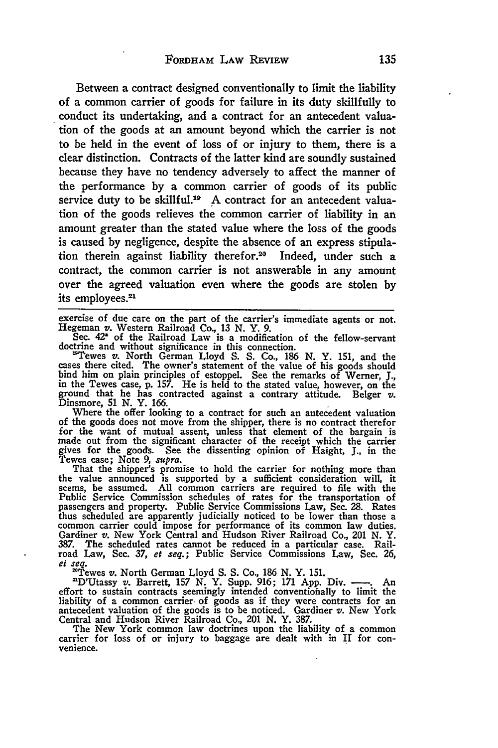Between a contract designed conventionally to limit the liability of a common carrier of goods for failure in its duty skillfully to conduct its undertaking, and a contract for an antecedent valuation of the goods at an amount beyond which the carrier is not to be held in the event of loss of or injury to them, there is a clear distinction. Contracts of the latter kind are soundly sustained because they have no tendency adversely to affect the manner of the performance by a common carrier of goods of its public service duty to be skillful.<sup>19</sup> A contract for an antecedent valuation of the goods relieves the common carrier of liability in an amount greater than the stated value where the loss of the goods is caused **by** negligence, despite the absence of an express stipulation therein against liability therefor.<sup>20</sup> Indeed, under such a contract, the common carrier is not answerable in any amount over the agreed valuation even where the goods are stolen **by** its employees.<sup>21</sup>

exercise of due care on the part of the carrier's immediate agents or not. Hegeman v. Western Railroad Co., **13** *N.* Y. **9.**

Sec. 42<sup>\*</sup> of the Railroad Law is a modification of the fellow-servant doctrine and without significance in this connection.<br><sup>19</sup>Tewes v. North German Lloyd S. S. Co., 186 N. Y. 151, and the cases there cited. The owner's

bind him on plain principles of estoppel. See the remarks of Werner, **J.,** in the Tewes case, **p. 157.** He is held to the stated value, however, on the ground that he has contracted against a contrary attitude. Belger *v.* Dinsmore, **51** *N.* Y. **166.**

Where the offer looking to a contract for such an antecedent valuation of the goods does not move from the shipper, there is no contract therefor for the want of mutual assent, unless that element of the bargain is made out from the significant character of the receipt which the carrier gives for the good&. See the dissenting opinion of Haight, **J.,** in the

Tewes case; Note *9, supra.* That the shipper's promise to hold the carrier for nothing more than the value announced is supported **by** a sufficient consideration will, it seems, be assumed. **All** common carriers are required to file with the Public Service Commission schedules of rates for the transportation of passengers and property. Public Service Commissions Law, Sec. **28.** Rates thus scheduled are apparently judicially noticed to be lower than those a common carrier could impose for performance of its common law duties. Gardiner v. New York Central and Hudson River Railroad Co., 201 **N.** Y. **387.** The scheduled rates cannot be reduced in a particular case. Railroad Law, Sec. **37,** *et seq.;* Public Service Commissions Law, Sec. **26,** *el seq.* 'Tewes v. North German Lloyd **S. S.** Co., **186 N.** Y. **151.** 'D'Utassy v. Barrett, **157** *N.* Y. Supp. **916; 171** App. Div. - **.** An

effort to sustain contracts seemingly intended conventionally to limit the liability of a common carrier of goods as if they were contracts for an antecedent valuation of the goods is to be noticed. Gardiner  $v$ . New York Central and Hudson River Railroad Co., 201 **N.** Y. **387.**

The New York common law doctrines upon the liability of a common carrier for loss of or injury to baggage are dealt with in II for convenience.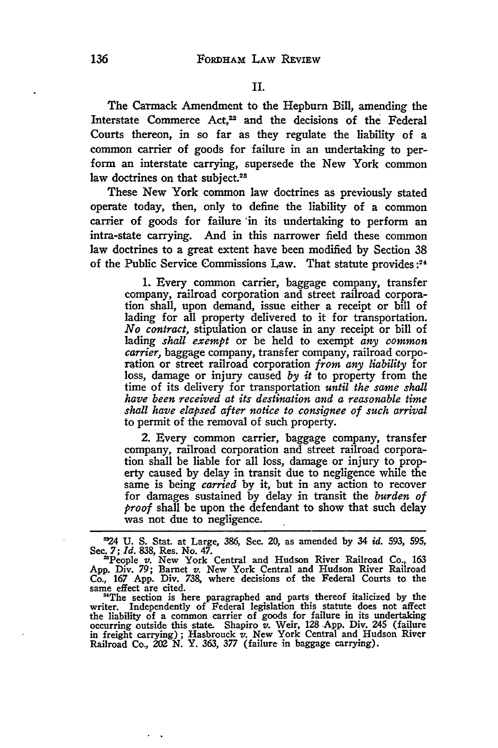The Carmack Amendment to the Hepburn Bill, amending the Interstate Commerce Act,<sup>22</sup> and the decisions of the Federal Courts thereon, in so far as they regulate the liability of a common carrier of goods for failure in an undertaking to perform an interstate carrying, supersede the New York common law doctrines on that subject.<sup>28</sup>

These New York common law doctrines as previously stated operate today, then, only to define the liability of a common carrier of goods for failure 'in its undertaking to perform an intra-state carrying. And in this narrower field these common law doctrines to a great extent have been modified by Section 38 of the Public Service Commissions Law. That statute provides:<sup>24</sup>

> 1. Every common carrier, baggage company, transfer company, railroad corporation and street railroad corporation shall, upon demand, issue either a receipt or bill of lading for all property delivered to it for transportation. *No contract,* stipulation or clause in any receipt or bill of lading *shall exempt* or be held to exempt *any common carrier,* baggage company, transfer company, railroad corporation or street railroad corporation *from any liability* for loss, damage or injury caused *by it* to property from the time of its delivery for transportation *until the same shall have been received at its destination and a reasonable time shall have elapsed after notice to consignee of such arrival* to permit of the removal of such property.

> 2. Every common carrier, baggage company, transfer company, railroad corporation and street railroad corporation shall be liable for all loss, damage or injury to property caused by delay in transit due to negligence while the same is being *carried* **by** it, but in any action to recover for damages sustained by delay in transit the *burden of proof* shall be upon the defendant to show that such delay was not due to negligence.

*<sup>24</sup>* **U.** S. Stat. at Large, 386, Sec. 20, as amended **by** 34 *id.* 593, **595,**

Sec. 7; *Id.* 838, Res. No. 47.<br>
"People *v.* New York Central and Hudson River Railroad Co., 163<br>
App. Div. 79; Barnet *v.* New York Central and Hudson River Railroad Co., **167 App.** Div. **738,** where decisions of the Federal Courts to the same effect are cited.

<sup>&</sup>quot;The section is here paragraphed and parts thereof italicized **by** the writer. Independently of Federal legislation this statute does not affect the liability of a common carrier of goods for failure in its undertaking<br>occurring outside this state. Shapiro v. Weir, 128 App. Div. 245 (failure<br>in freight carrying); Hasbrouck v. New York Central and Hudson River Railroad Co., 202 **N.** Y. 363, *377* (failure in baggage carrying).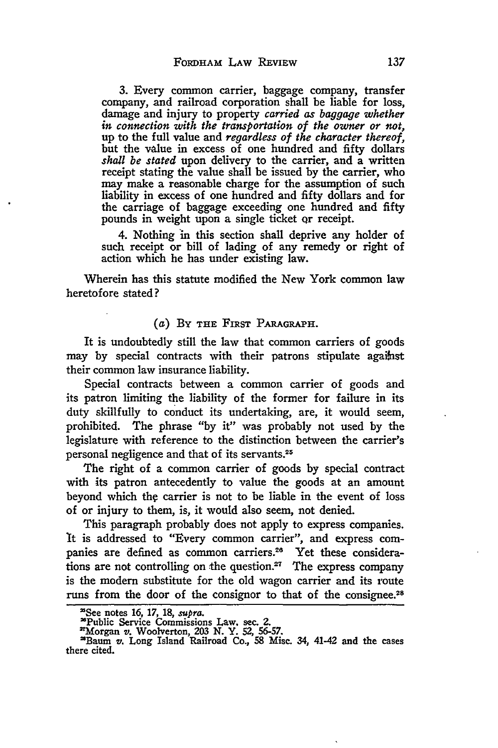3. **Every** common carrier, baggage company, transfer company, and railroad corporation shall be liable for loss, damage and injury to property *carried as baggage whether in connection with the transportation of the owner or not,* up to the full value and *regardless of the character thereof,* but the value in excess of one hundred and fifty dollars *shall be stated* upon delivery to the carrier, and a written receipt stating the value shall be issued by the carrier, who may make a reasonable charge for the assumption of such liability in excess of one hundred and fifty dollars and for the carriage of baggage exceeding one hundred and fifty pounds in weight upon a single ticket or receipt.

4. Nothing **in** this section shall deprive any holder of such receipt or bill of lading of any remedy or right of action which he has under existing law.

Wherein has this statute modified the New York common law heretofore stated?

#### *(a)* BY **THE FIRST** PARAGRAPH.

It is undoubtedly still the law that common carriers of goods may **by** special contracts with their patrons stipulate agaihst their common law insurance liability.

Special contracts between a common carrier of goods and its patron limiting the liability of the former for failure in its duty skillfully to conduct its undertaking, are, it would seem, prohibited. The phrase **"by** it" was probably not used **by** the legislature with reference to the distinction between the carrier's personal negligence and that of its servants. <sup>25</sup>

The right of a common carrier of goods **by** special contract with its patron antecedently to value the goods at an amount beyond which the carrier is not to be liable in the event of loss of or injury to them, is, it would also seem, not denied.

This paragraph probably does not apply to express companies. It is addressed to "Every common carrier", and express companies are defined as common carriers.<sup>26</sup> Yet these considerations are not controlling on the question.<sup>27</sup> The express company is the modem substitute for the old wagon carrier and its route runs from the door of the consignor to that of the consignee.<sup>28</sup>

<sup>&#</sup>x27;See notes **16, 17, 18,** *supra.*

<sup>&#</sup>x27;Public Service Commissions Law, sec. **2. 'Morgan** v. Woolverton, **203 N. Y. 52, 56-57.** 'Baum v. Long Island Railroad Co., **58** Misc. *34,* 41-42 and **the** cases there cited.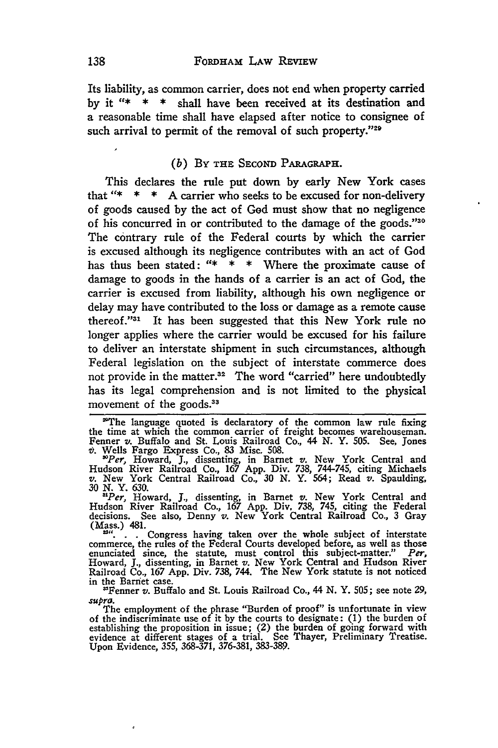Its liability, as common carrier, does not end when property carried **by** it **"\* \* \*** shall have been received at its destination and a reasonable time shall have elapsed after notice to consignee of such arrival to permit of the removal of such property."29

#### *(b)* BY **THE** SECOND PARGRAH.

This declares the rule put down by early New York cases that "\* **\* \* A** carrier who seeks to be excused for non-delivery of goods caused by the act of **God** must show that no negligence of his concurred in or contributed to the damage of the goods."3' The contrary rule of the Federal courts by which the carrier is excused although its negligence contributes with an act of God has thus been stated: **"\* \* \*** Where the proximate cause of damage to goods in the hands of a carrier is an act of God, the carrier is excused from liability, although his own negligence or delay may have contributed to the loss or damage as a remote cause thereof."<sup>31</sup> It has been suggested that this New York rule no longer applies where the carrier would be excused for his failure to deliver an interstate shipment in such circumstances, although Federal legislation on the subject of interstate commerce does not provide in the matter.<sup>32</sup> The word "carried" here undoubtedly has its legal comprehension and is not limited to the physical movement of the goods.<sup>33</sup>

<sup>29</sup>The language quoted is declaratory of the common law rule fixing the time at which the common carrier of freight becomes warehouseman. Fenner v. Buffalo and St. Louis Railroad Co., 44 **N.** Y. **505.** See, Jones **z).** Wells Fargo Express Co., **83** Misc. **508.** *'Per,* Howard, **J.,** dissenting, in Barnet v. New York Central and

Hudson River Railroad Co., **167 App.** Div. **738,** 744-745, citing Michaels *v.* New York Central Railroad Co., **30 N.** Y. 564; Read *v.* Spaulding, **30** *N.* Y. **630.** *'Per,* Howard, **J.,** dissenting, in Barnet *v.* New York Central and

Hudson River Railroad Co., **167 App.** Div, **738,** 745, citing the Federal decisions. See also, Denny *v.* New York Central Railroad Co., 3 Gray (Mass.) 481.

 $\ddot{B}^{\prime\prime}$ ... Congress having taken over the whole subject of interstate commerce, the rules of the Federal Courts developed before, as well as those enunciated since, the statute, must control this subject-matter." P Railroad Co., **167** App. Div. 738, 744. The New York statute is not noticed in the Barnet case. -"Fenner *v.* Buffalo and St. Louis Railroad Co., 44 N. Y. **505;** see note **29,**

*supro.*

The employment of the phrase "Burden of proof" is unfortunate in view of the indiscriminate use of it by the courts to designate: (1) the burden of establishing the proposition in issue; (2) the burden of going forward with evidence at different stages of a trial. See Thayer, Preliminary Treatise. Upon Evidence, **355, 368-371,** 376-381, **383-389.**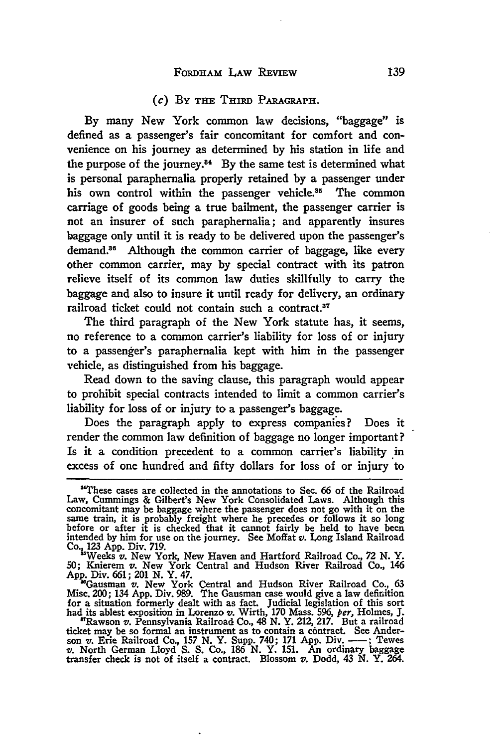### (c) BY **THE** THIRD PARAGRAPH.

By many New York common law decisions, "baggage" is defined as a passenger's fair concomitant for comfort and convenience on his journey as determined by his station in life and the purpose of the journey.<sup>34</sup> By the same test is determined what is personal paraphernalia properly retained by a passenger under his own control within the passenger vehicle.<sup>35</sup> The common carriage of goods being a true bailment, the passenger carrier is not an insurer of such paraphernalia; and apparently insures baggage only until it is ready to be delivered upon the passenger's demand.<sup>86</sup> Although the common carrier of baggage, like every other common carrier, may by special contract with its patron relieve itself of its common law duties skillfully to carry the baggage and also to insure it until ready for delivery, an ordinary railroad ticket could not contain such a contract.<sup>37</sup>

The third paragraph of the New York statute has, it seems, no reference to a common carrier's liability for loss of or injury to a passenger's paraphernalia kept with him in the passenger vehicle, as distinguished from his baggage.

Read down to the saving clause, this paragraph would appear to prohibit special contracts intended to limit a common carrier's liability for loss of or injury to a passenger's baggage.

Does the paragraph apply to express companies? Does it render the common law definition of baggage no longer important? Is it a condition precedent to a common carrier's liability in excess of one hundred and **fifty** dollars for loss of or injury to

**50;** Knierem v. New York Central and Hudson River Railroad Co., 146 **App.** Div. **661;** 201 **N.** Y. 47.

"Gausman v. New York Central and Hudson River Railroad Co., **63** Misc. 200; 134 **App.** Div. **989.** The Gausman case would give a law definition for a situation formerly dealt with as fact. Judicial legislation of this sort

<sup>&#</sup>x27;These cases are collected in the annotations to Sec. **66** of the Railroad Law, Cummings & Gilbert's New York Consolidated Laws. Although this concomitant may be baggage where the passenger does not go with it on the same train, it is probably freight where he precedes or follows it so long before or after it is checked that it cannot fairly be held to have been intended **by** him for use on the journey. See Moffat v. Long Island Railroad **Co. 123 App.** Div. **719.** -Weks *v.* New **York** New Haven and Hartford Railroad Co., **72 N.** Y.

had its ablest exposition in Lorenzo v. Wirth, 170 Mass. 596, per, Holmes, J. "Rawson v. Pennsylvania Railroad Co., 48 N. Y. 212, 217. But a railroad ticket may be so formal an instrument as to contain a contract. See Ande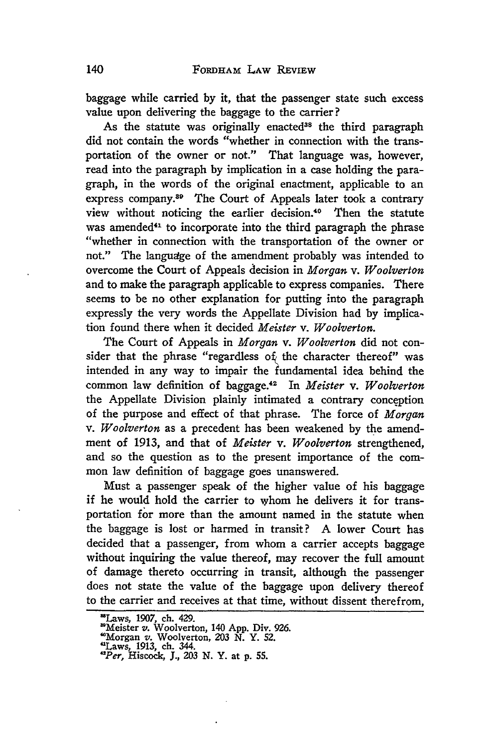baggage while carried by it, that the passenger state such excess value upon delivering the baggage to the carrier?

As the statute was originally enacted<sup>38</sup> the third paragraph did not contain the words "whether in connection with the transportation of the owner or not." That language was, however, read into the paragraph by implication in a case holding the paragraph, in the words of the original enactment, applicable to an express company.89 The Court of Appeals later took a contrary view without noticing the earlier decision.<sup>40</sup> Then the statute was amended<sup>41</sup> to incorporate into the third paragraph the phrase "whether in connection with the transportation of the owner or not." The language of the amendment probably was intended to overcome the Court of Appeals decision in *Morgan v. Woolverton* and to make the paragraph applicable to express companies. There seems to be no other explanation for putting into the paragraph expressly the very words the Appellate Division had by implication found there when it decided *Meister v. Woolverton.*

The Court of Appeals in *Morgan v. Woolverton* did not consider that the phrase "regardless of the character thereof" was intended in any way to impair the fundamental idea behind the common law definition of baggage.<sup>42</sup> In *Meister v. Woolverton* the Appellate Division plainly intimated a contrary conception of the purpose and effect of that phrase. The force of *Morgan v. Woolverton* as a precedent has been weakened by the amendment of 1913, and that of *Meister v. Woolverton* strengthened, and so the question as to the present importance of the common law definition of baggage goes unanswered.

Must a passenger speak of the higher value of his baggage if he would hold the carrier to whom he delivers it for transportation for more than the amount named in the statute when the baggage is lost or harmed in transit? A lower Court has decided that a passenger, from whom a carrier accepts baggage without inquiring the value thereof, may recover the full amount of damage thereto occurring in transit, although the passenger does not state the value of the baggage upon delivery thereof to the carrier and receives at that time, without dissent therefrom,

<sup>&#</sup>x27;Laws, 1907, ch. 429. 'Meister *v.* Woolverton, 140 App. Div. 926.

<sup>&#</sup>x27;Morgan v. Woolverton, 203 N. Y. 52. "Laws, 1913, ch. 344. *"Per,* Hiscock, **J.,** 203 N. Y. at p. 55.